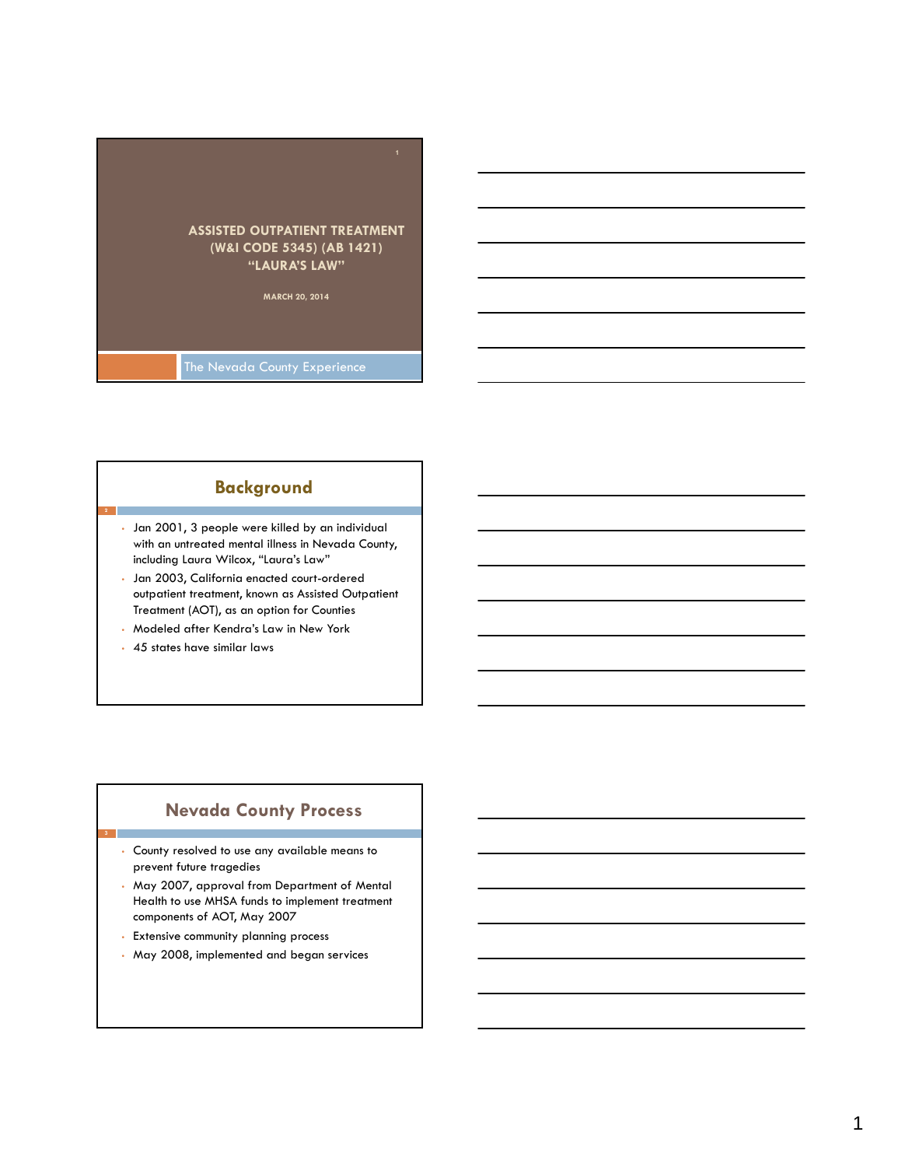

#### **Background**

- Jan 2001, 3 people were killed by an individual with an untreated mental illness in Nevada County, including Laura Wilcox, "Laura's Law"
- Jan 2003, California enacted court-ordered outpatient treatment, known as Assisted Outpatient Treatment (AOT), as an option for Counties
- Modeled after Kendra's Law in New York
- 45 states have similar laws

**3**

#### **Nevada County Process**

- County resolved to use any available means to prevent future tragedies
- May 2007, approval from Department of Mental Health to use MHSA funds to implement treatment components of AOT, May 2007
- Extensive community planning process
- May 2008, implemented and began services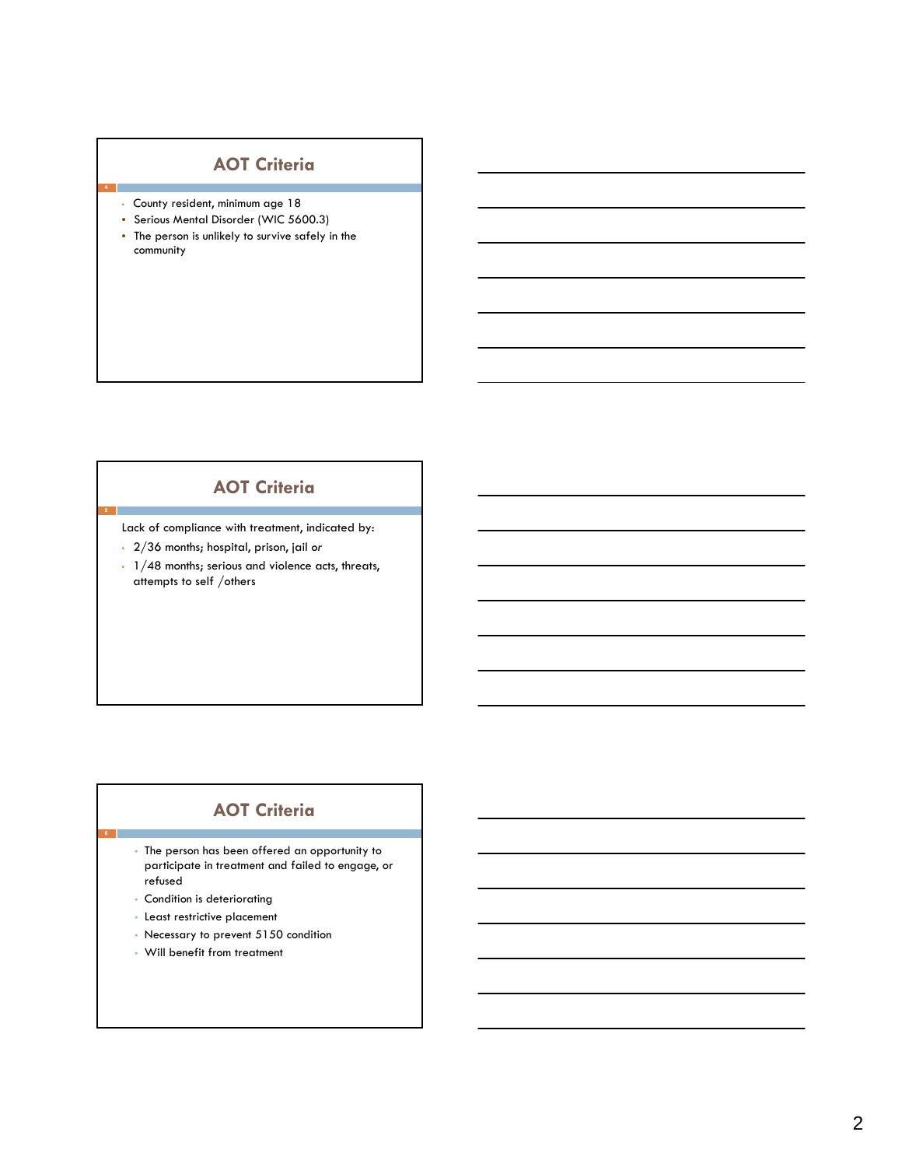# **AOT Criteria**

• County resident, minimum age 18

**4**

- Serious Mental Disorder (WIC 5600.3)
- The person is unlikely to survive safely in the community

## **AOT Criteria**

Lack of compliance with treatment, indicated by:

- 2/36 months; hospital, prison, jail *or*
- 1/48 months; serious and violence acts, threats, attempts to self /others

# **AOT Criteria**

- The person has been offered an opportunity to participate in treatment and failed to engage, or refused
- Condition is deteriorating

**6**

- Least restrictive placement
- Necessary to prevent 5150 condition
- Will benefit from treatment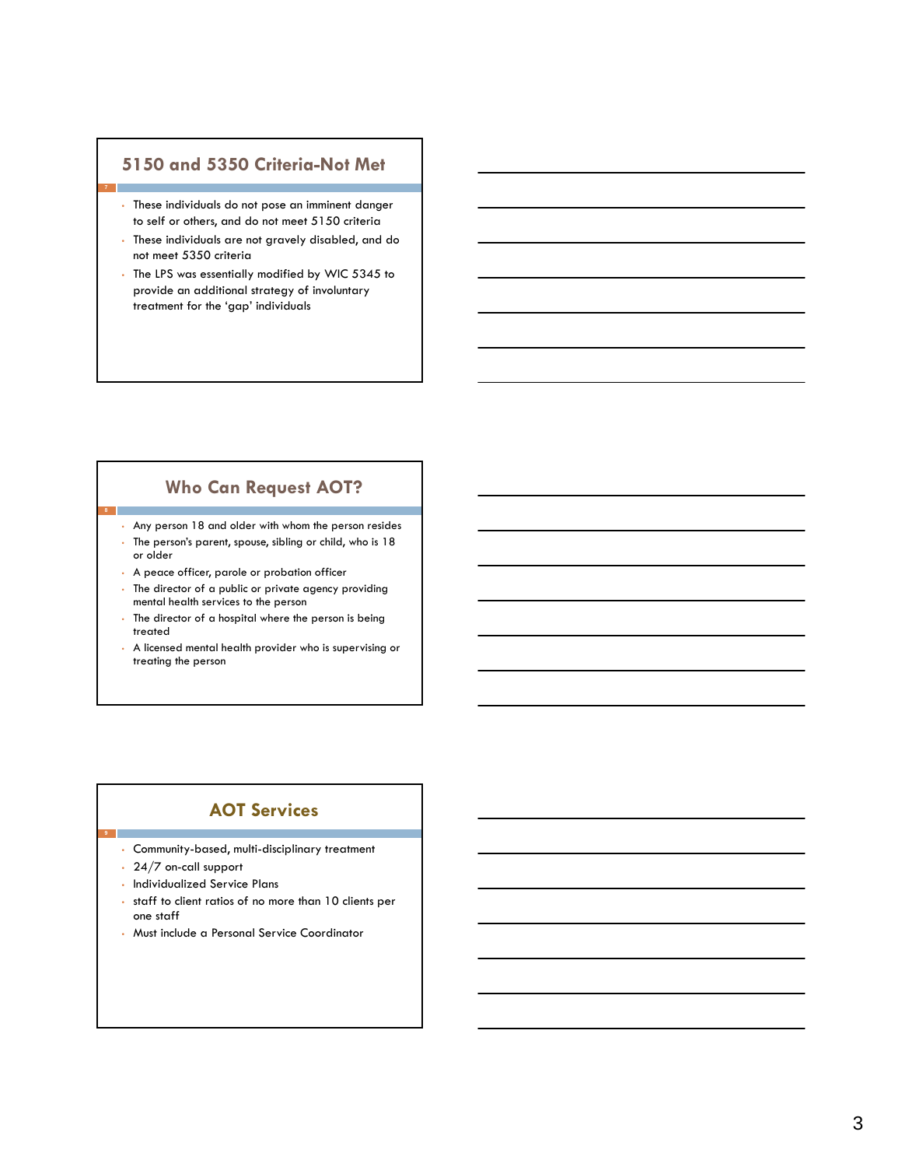#### **5150 and 5350 Criteria-Not Met**

- These individuals do not pose an imminent danger to self or others, and do not meet 5150 criteria
- These individuals are not gravely disabled, and do not meet 5350 criteria
- The LPS was essentially modified by WIC 5345 to provide an additional strategy of involuntary treatment for the 'gap' individuals

#### **Who Can Request AOT?**

• Any person 18 and older with whom the person resides

- The person's parent, spouse, sibling or child, who is 18 or older
- A peace officer, parole or probation officer
- The director of a public or private agency providing mental health services to the person
- The director of a hospital where the person is being treated
- A licensed mental health provider who is supervising or treating the person

### **AOT Services**

- Community-based, multi-disciplinary treatment
- 24/7 on-call support

**9**

- Individualized Service Plans
- staff to client ratios of no more than 10 clients per one staff
- Must include a Personal Service Coordinator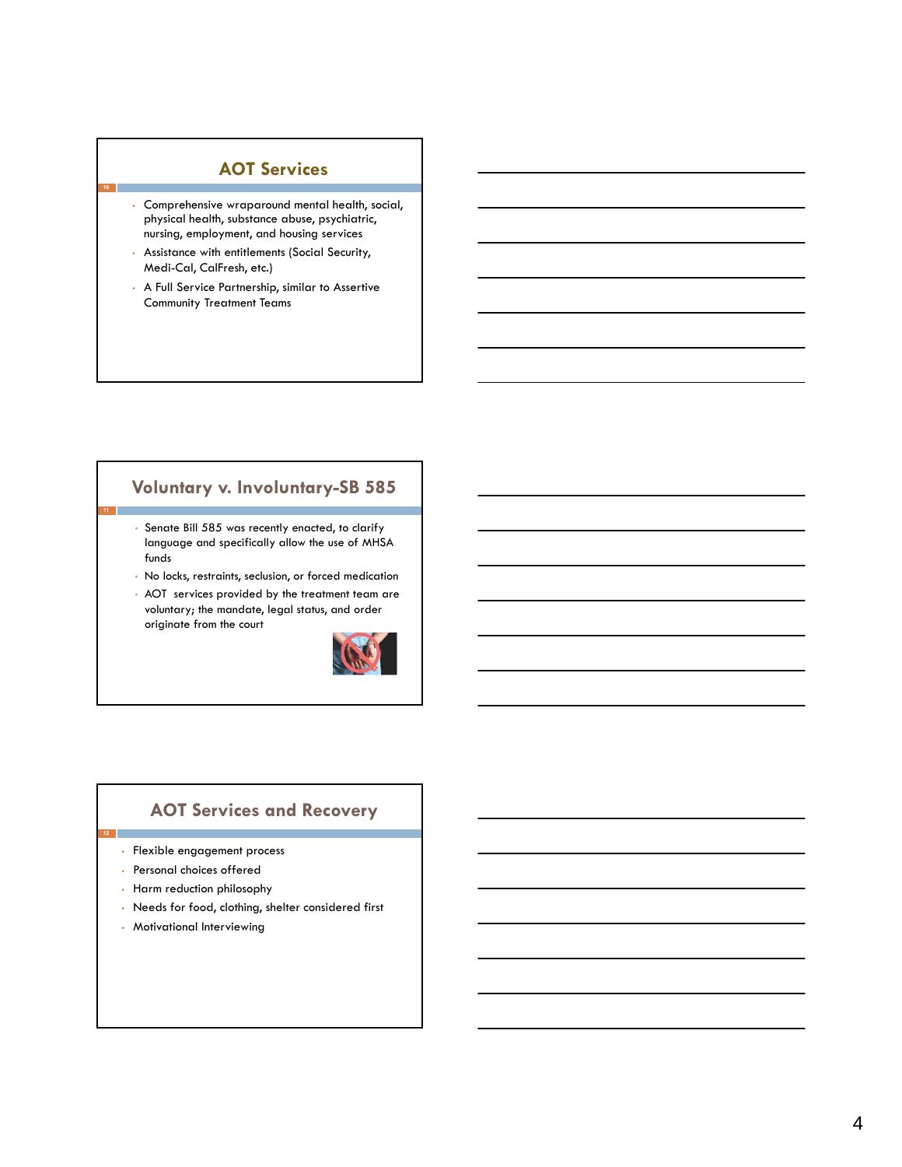#### **AOT Services**

- Comprehensive wraparound mental health, social, physical health, substance abuse, psychiatric, nursing, employment, and housing services
- Assistance with entitlements (Social Security, Medi-Cal, CalFresh, etc.)

**10**

• A Full Service Partnership, similar to Assertive Community Treatment Teams

# **Voluntary v. Involuntary-SB 585**

- Senate Bill 585 was recently enacted, to clarify language and specifically allow the use of MHSA funds
- No locks, restraints, seclusion, or forced medication
- AOT services provided by the treatment team are voluntary; the mandate, legal status, and order originate from the court



# **AOT Services and Recovery**

- Flexible engagement process
- Personal choices offered
- Harm reduction philosophy
- Needs for food, clothing, shelter considered first
- Motivational Interviewing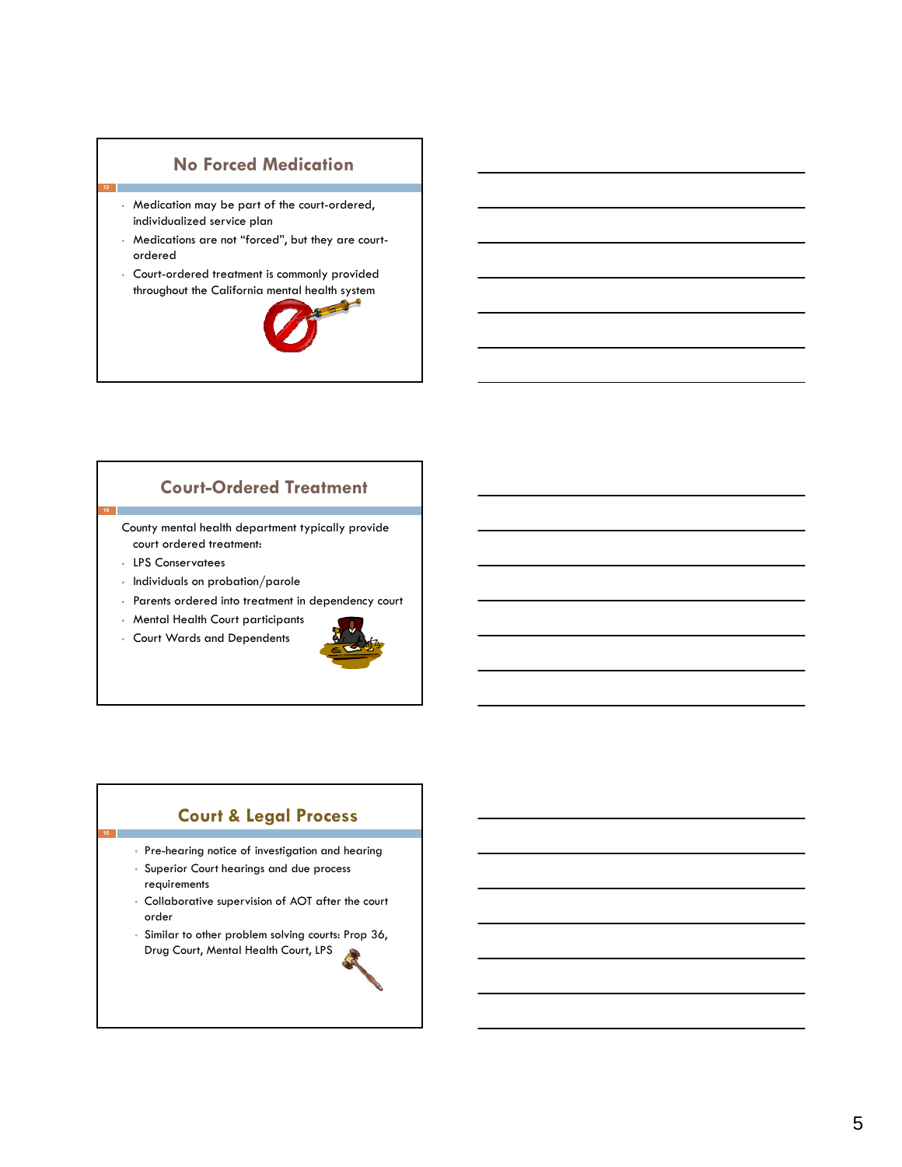## **No Forced Medication**

- Medication may be part of the court-ordered, individualized service plan
- Medications are not "forced", but they are courtordered
- Court-ordered treatment is commonly provided throughout the California mental health system



## **Court-Ordered Treatment**

County mental health department typically provide court ordered treatment:

• LPS Conservatees

**13**

**14**

**15**

- Individuals on probation/parole
- Parents ordered into treatment in dependency court
- Mental Health Court participants
- Court Wards and Dependents



## **Court & Legal Process**

- Pre-hearing notice of investigation and hearing
- Superior Court hearings and due process requirements
- Collaborative supervision of AOT after the court order
- Similar to other problem solving courts: Prop 36, Drug Court, Mental Health Court, LPS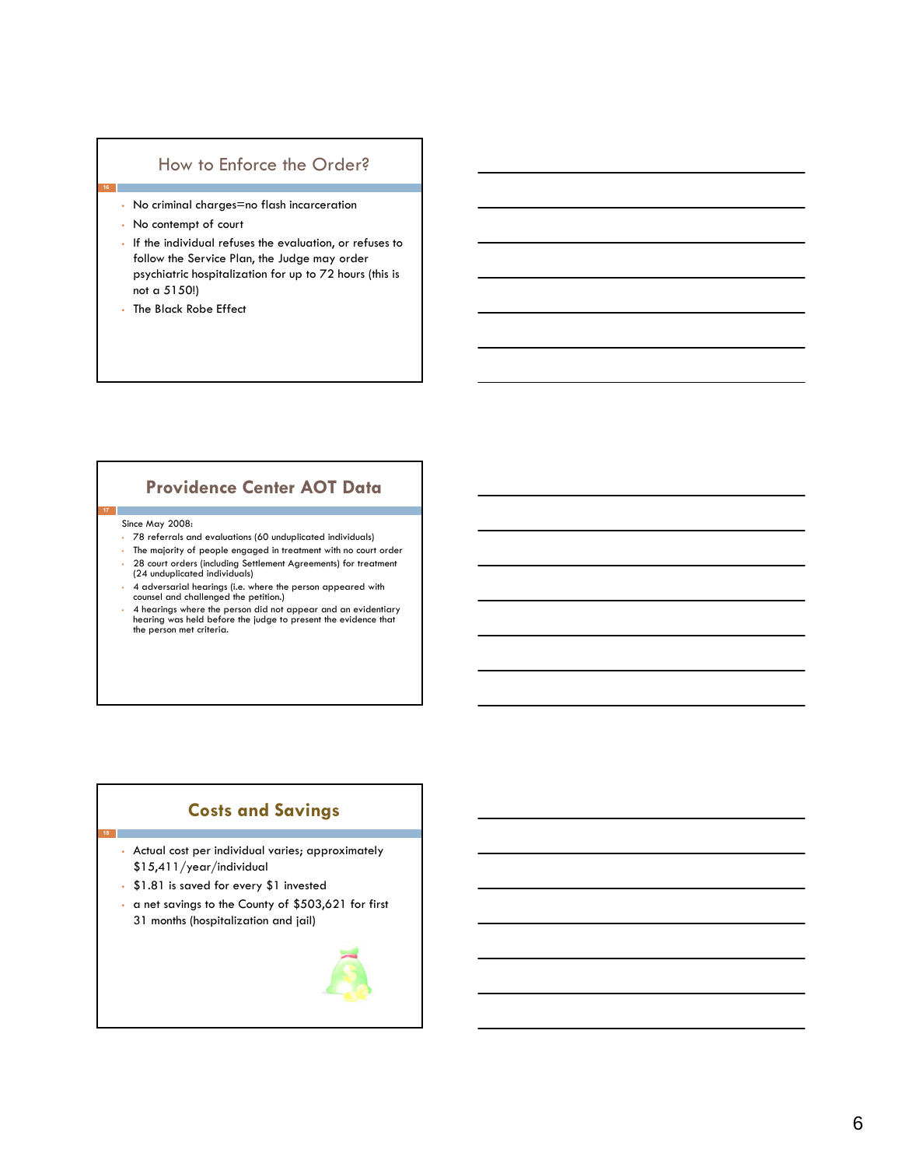#### How to Enforce the Order?

- No criminal charges=no flash incarceration
- No contempt of court

**16**

- If the individual refuses the evaluation, or refuses to follow the Service Plan, the Judge may order psychiatric hospitalization for up to 72 hours (this is not a 5150!)
- The Black Robe Effect

#### **Providence Center AOT Data**

#### Since May 2008:

**18**

- 78 referrals and evaluations (60 unduplicated individuals)
- The majority of people engaged in treatment with no court order • 28 court orders (including Settlement Agreements) for treatment (24 unduplicated individuals)
- 4 adversarial hearings (i.e. where the person appeared with counsel and challenged the petition.)
- 4 hearings where the person did not appear and an evidentiary hearing was held before the judge to present the evidence that the person met criteria.

### **Costs and Savings**

• Actual cost per individual varies; approximately \$15,411/year/individual

- \$1.81 is saved for every \$1 invested
- a net savings to the County of \$503,621 for first 31 months (hospitalization and jail)

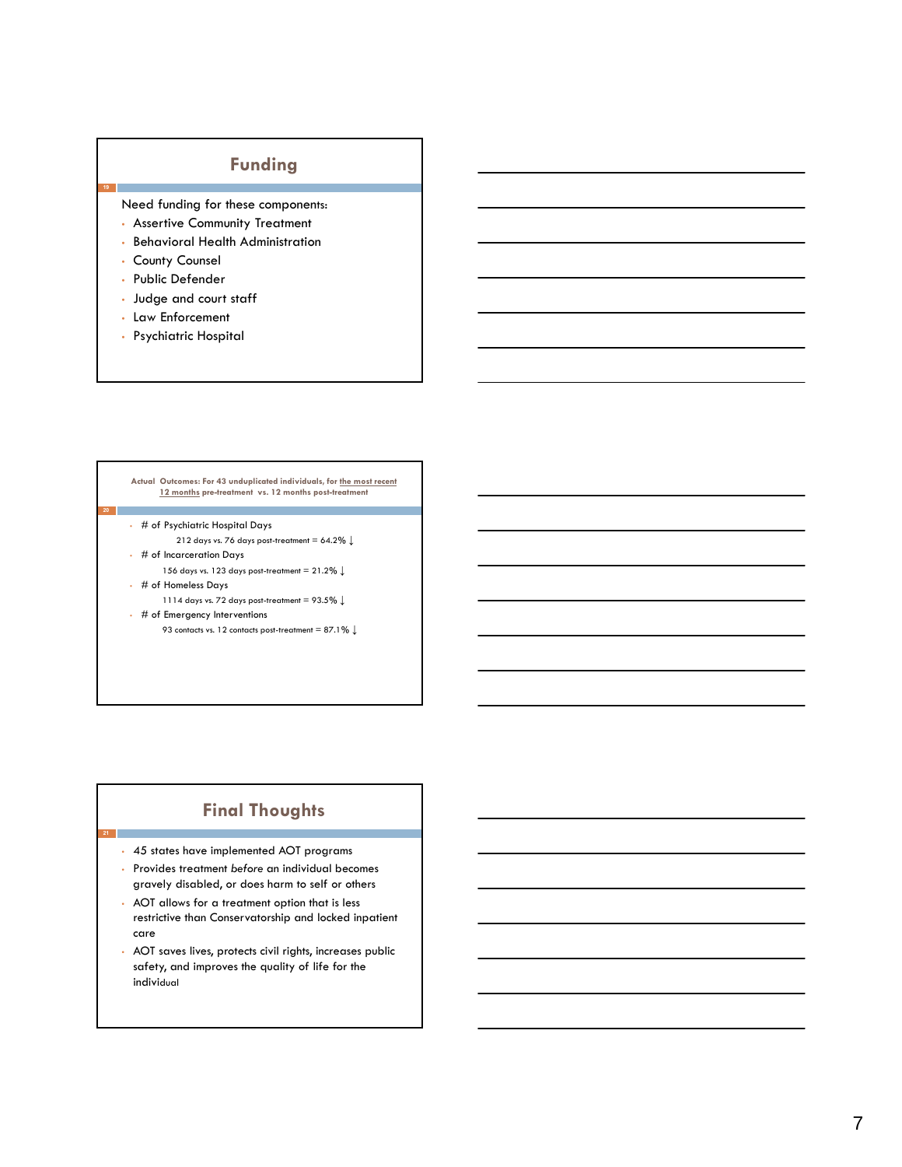# **Funding**

Need funding for these components:

- Assertive Community Treatment
- Behavioral Health Administration
- County Counsel

**19**

- Public Defender
- Judge and court staff
- Law Enforcement
- Psychiatric Hospital

#### **Actual Outcomes: For 43 unduplicated individuals, for the most recent 12 months pre-treatment vs. 12 months post-treatment**

- # of Psychiatric Hospital Days
	- 212 days vs. 76 days post-treatment = 64.2**% ↓**
- # of Incarceration Days
	- 156 days vs. 123 days post-treatment = 21.2**% ↓**
- # of Homeless Days

**21**

- 1114 days vs. 72 days post-treatment = 93.5**% ↓**
- # of Emergency Interventions 93 contacts vs. 12 contacts post-treatment = 87.1**% ↓**

**Final Thoughts**

- 45 states have implemented AOT programs
- Provides treatment *before* an individual becomes gravely disabled, or does harm to self or others
- AOT allows for a treatment option that is less restrictive than Conservatorship and locked inpatient care
- AOT saves lives, protects civil rights, increases public safety, and improves the quality of life for the individual